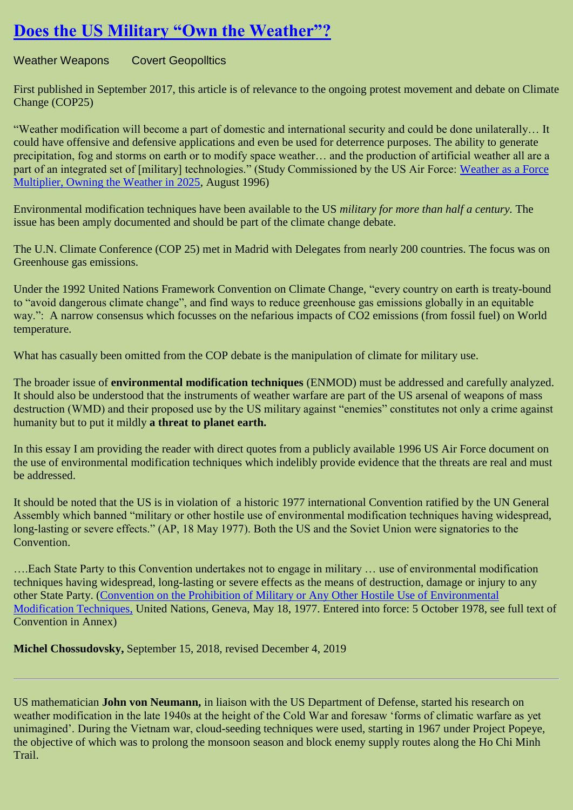## **[Does the US Military "Own the Weather"?](https://geopolitics.co/2020/01/23/does-the-us-military-own-the-weather/)**

Weather Weapons Covert Geopolitics

First published in September 2017, this article is of relevance to the ongoing protest movement and debate on Climate Change (COP25)

―Weather modification will become a part of domestic and international security and could be done unilaterally… It could have offensive and defensive applications and even be used for deterrence purposes. The ability to generate precipitation, fog and storms on earth or to modify space weather… and the production of artificial weather all are a part of an integrated set of [military] technologies." (Study Commissioned by the US Air Force: Weather as a Force [Multiplier, Owning the Weather in 2025,](https://www.geoengineeringwatch.org/documents/vol3ch15.pdf) August 1996)

Environmental modification techniques have been available to the US *military for more than half a century.* The issue has been amply documented and should be part of the climate change debate.

The U.N. Climate Conference (COP 25) met in Madrid with Delegates from nearly 200 countries. The focus was on Greenhouse gas emissions.

Under the 1992 United Nations Framework Convention on Climate Change, "every country on earth is treaty-bound to "avoid dangerous climate change", and find ways to reduce greenhouse gas emissions globally in an equitable way.": A narrow consensus which focusses on the nefarious impacts of CO2 emissions (from fossil fuel) on World temperature.

What has casually been omitted from the COP debate is the manipulation of climate for military use.

The broader issue of **environmental modification techniques** (ENMOD) must be addressed and carefully analyzed. It should also be understood that the instruments of weather warfare are part of the US arsenal of weapons of mass destruction (WMD) and their proposed use by the US military against "enemies" constitutes not only a crime against humanity but to put it mildly **a threat to planet earth.**

In this essay I am providing the reader with direct quotes from a publicly available 1996 US Air Force document on the use of environmental modification techniques which indelibly provide evidence that the threats are real and must be addressed.

It should be noted that the US is in violation of a historic 1977 international Convention ratified by the UN General Assembly which banned "military or other hostile use of environmental modification techniques having widespread, long-lasting or severe effects." (AP, 18 May 1977). Both the US and the Soviet Union were signatories to the Convention.

….Each State Party to this Convention undertakes not to engage in military … use of environmental modification techniques having widespread, long-lasting or severe effects as the means of destruction, damage or injury to any other State Party. [\(Convention on the Prohibition of Military or Any Other Hostile Use of Environmental](http://www.un-documents.net/enmod.htm)  [Modification Techniques,](http://www.un-documents.net/enmod.htm) United Nations, Geneva, May 18, 1977. Entered into force: 5 October 1978, see full text of Convention in Annex)

**Michel Chossudovsky,** September 15, 2018, revised December 4, 2019

US mathematician **John von Neumann,** in liaison with the US Department of Defense, started his research on weather modification in the late 1940s at the height of the Cold War and foresaw 'forms of climatic warfare as yet unimagined'. During the Vietnam war, cloud-seeding techniques were used, starting in 1967 under Project Popeye, the objective of which was to prolong the monsoon season and block enemy supply routes along the Ho Chi Minh Trail.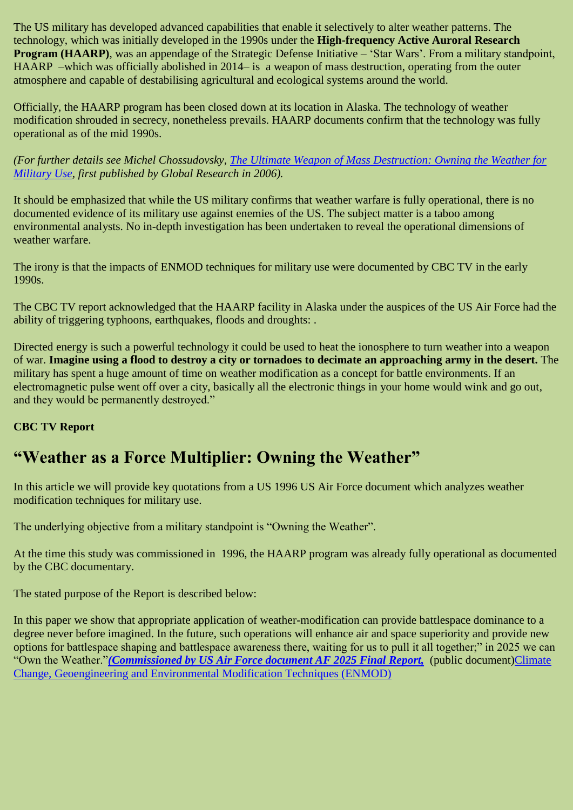The US military has developed advanced capabilities that enable it selectively to alter weather patterns. The technology, which was initially developed in the 1990s under the **High-frequency Active Auroral Research Program (HAARP)**, was an appendage of the Strategic Defense Initiative – 'Star Wars'. From a military standpoint, HAARP –which was officially abolished in 2014– is a weapon of mass destruction, operating from the outer atmosphere and capable of destabilising agricultural and ecological systems around the world.

Officially, the HAARP program has been closed down at its location in Alaska. The technology of weather modification shrouded in secrecy, nonetheless prevails. HAARP documents confirm that the technology was fully operational as of the mid 1990s.

*(For further details see Michel Chossudovsky, [The Ultimate Weapon of Mass Destruction: Owning the Weather for](https://www.globalresearch.ca/the-ultimate-weapon-of-mass-destruction-owning-the-weather-for-military-use-2/5306386)  [Military Use,](https://www.globalresearch.ca/the-ultimate-weapon-of-mass-destruction-owning-the-weather-for-military-use-2/5306386) first published by Global Research in 2006).*

It should be emphasized that while the US military confirms that weather warfare is fully operational, there is no documented evidence of its military use against enemies of the US. The subject matter is a taboo among environmental analysts. No in-depth investigation has been undertaken to reveal the operational dimensions of weather warfare.

The irony is that the impacts of ENMOD techniques for military use were documented by CBC TV in the early 1990s.

The CBC TV report acknowledged that the HAARP facility in Alaska under the auspices of the US Air Force had the ability of triggering typhoons, earthquakes, floods and droughts: .

Directed energy is such a powerful technology it could be used to heat the ionosphere to turn weather into a weapon of war. **Imagine using a flood to destroy a city or tornadoes to decimate an approaching army in the desert.** The military has spent a huge amount of time on weather modification as a concept for battle environments. If an electromagnetic pulse went off over a city, basically all the electronic things in your home would wink and go out, and they would be permanently destroyed."

### **CBC TV Report**

## **"Weather as a Force Multiplier: Owning the Weather"**

In this article we will provide key quotations from a US 1996 US Air Force document which analyzes weather modification techniques for military use.

The underlying objective from a military standpoint is "Owning the Weather".

At the time this study was commissioned in 1996, the HAARP program was already fully operational as documented by the CBC documentary.

The stated purpose of the Report is described below:

In this paper we show that appropriate application of weather-modification can provide battlespace dominance to a degree never before imagined. In the future, such operations will enhance air and space superiority and provide new options for battlespace shaping and battlespace awareness there, waiting for us to pull it all together;" in 2025 we can ―Own the Weather.‖*[\(Commissioned by US Air Force document AF 2025 Final Report,](https://www.geoengineeringwatch.org/documents/vol3ch15.pdf)* (public document[\)Climate](https://www.globalresearch.ca/climate-change-geoengineering-and-environmental-modification-techniques-enmod/5357966)  [Change, Geoengineering and Environmental Modification Techniques \(ENMOD\)](https://www.globalresearch.ca/climate-change-geoengineering-and-environmental-modification-techniques-enmod/5357966)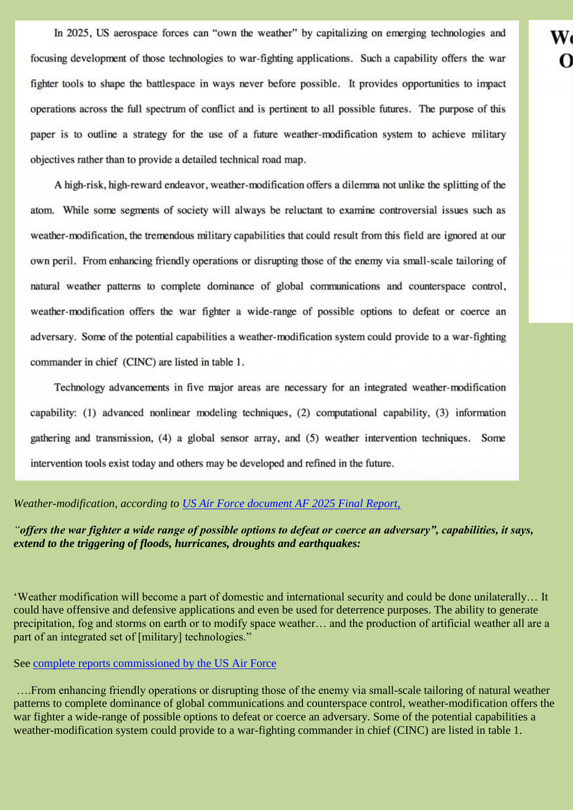In 2025, US aerospace forces can "own the weather" by capitalizing on emerging technologies and focusing development of those technologies to war-fighting applications. Such a capability offers the war fighter tools to shape the battlespace in ways never before possible. It provides opportunities to impact operations across the full spectrum of conflict and is pertinent to all possible futures. The purpose of this paper is to outline a strategy for the use of a future weather-modification system to achieve military objectives rather than to provide a detailed technical road map.

W

A high-risk, high-reward endeavor, weather-modification offers a dilemma not unlike the splitting of the atom. While some segments of society will always be reluctant to examine controversial issues such as weather-modification, the tremendous military capabilities that could result from this field are ignored at our own peril. From enhancing friendly operations or disrupting those of the enemy via small-scale tailoring of natural weather patterns to complete dominance of global communications and counterspace control, weather-modification offers the war fighter a wide-range of possible options to defeat or coerce an adversary. Some of the potential capabilities a weather-modification system could provide to a war-fighting commander in chief (CINC) are listed in table 1.

Technology advancements in five major areas are necessary for an integrated weather-modification capability: (1) advanced nonlinear modeling techniques, (2) computational capability, (3) information gathering and transmission, (4) a global sensor array, and (5) weather intervention techniques. Some intervention tools exist today and others may be developed and refined in the future.

*Weather-modification, according to [US Air Force document AF 2025 Final Report,](http://csat.au.af.mil/2025/volume3/vol3ch15.pdf)*

*"offers the war fighter a wide range of possible options to defeat or coerce an adversary", capabilities, it says, extend to the triggering of floods, hurricanes, droughts and earthquakes:* 

‗Weather modification will become a part of domestic and international security and could be done unilaterally… It could have offensive and defensive applications and even be used for deterrence purposes. The ability to generate precipitation, fog and storms on earth or to modify space weather… and the production of artificial weather all are a part of an integrated set of [military] technologies."

### See [complete reports commissioned by the US Air Force](https://www.geoengineeringwatch.org/documents/vol3ch15.pdf)

….From enhancing friendly operations or disrupting those of the enemy via small-scale tailoring of natural weather patterns to complete dominance of global communications and counterspace control, weather-modification offers the war fighter a wide-range of possible options to defeat or coerce an adversary. Some of the potential capabilities a weather-modification system could provide to a war-fighting commander in chief (CINC) are listed in table 1.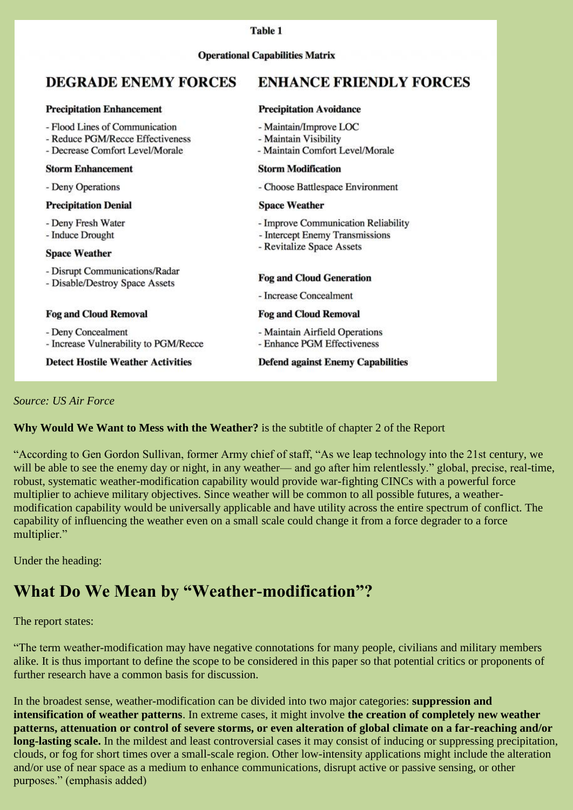### **Precipitation Enhancement Precipitation Avoidance** - Flood Lines of Communication - Maintain/Improve LOC - Reduce PGM/Recce Effectiveness - Maintain Visibility - Decrease Comfort Level/Morale - Maintain Comfort Level/Morale **Storm Modification Storm Enhancement** - Deny Operations - Choose Battlespace Environment **Precipitation Denial Space Weather** - Deny Fresh Water - Improve Communication Reliability - Induce Drought - Intercept Enemy Transmissions - Revitalize Space Assets **Space Weather** - Disrupt Communications/Radar **Fog and Cloud Generation** - Disable/Destroy Space Assets - Increase Concealment **Fog and Cloud Removal Fog and Cloud Removal** - Deny Concealment - Maintain Airfield Operations - Increase Vulnerability to PGM/Recce - Enhance PGM Effectiveness **Detect Hostile Weather Activities Defend against Enemy Capabilities**

### *Source: US Air Force*

### **Why Would We Want to Mess with the Weather?** is the subtitle of chapter 2 of the Report

"According to Gen Gordon Sullivan, former Army chief of staff, "As we leap technology into the 21st century, we will be able to see the enemy day or night, in any weather— and go after him relentlessly." global, precise, real-time, robust, systematic weather-modification capability would provide war-fighting CINCs with a powerful force multiplier to achieve military objectives. Since weather will be common to all possible futures, a weathermodification capability would be universally applicable and have utility across the entire spectrum of conflict. The capability of influencing the weather even on a small scale could change it from a force degrader to a force multiplier."

Under the heading:

## **What Do We Mean by "Weather-modification"?**

### The report states:

―The term weather-modification may have negative connotations for many people, civilians and military members alike. It is thus important to define the scope to be considered in this paper so that potential critics or proponents of further research have a common basis for discussion.

In the broadest sense, weather-modification can be divided into two major categories: **suppression and intensification of weather patterns**. In extreme cases, it might involve **the creation of completely new weather patterns, attenuation or control of severe storms, or even alteration of global climate on a far-reaching and/or long-lasting scale.** In the mildest and least controversial cases it may consist of inducing or suppressing precipitation, clouds, or fog for short times over a small-scale region. Other low-intensity applications might include the alteration and/or use of near space as a medium to enhance communications, disrupt active or passive sensing, or other purposes." (emphasis added)

### **Operational Capabilities Matrix**

Table 1

#### **ENHANCE FRIENDLY FORCES DEGRADE ENEMY FORCES**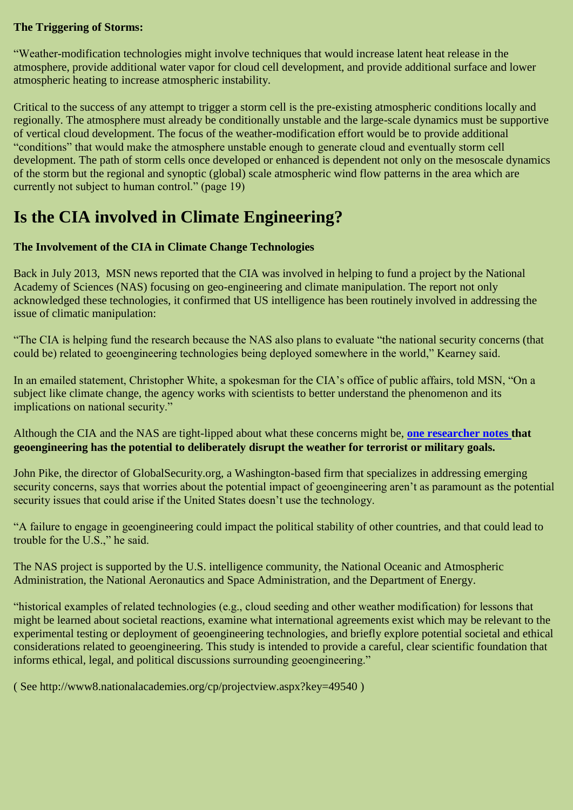### **The Triggering of Storms:**

―Weather-modification technologies might involve techniques that would increase latent heat release in the atmosphere, provide additional water vapor for cloud cell development, and provide additional surface and lower atmospheric heating to increase atmospheric instability.

Critical to the success of any attempt to trigger a storm cell is the pre-existing atmospheric conditions locally and regionally. The atmosphere must already be conditionally unstable and the large-scale dynamics must be supportive of vertical cloud development. The focus of the weather-modification effort would be to provide additional ―conditions‖ that would make the atmosphere unstable enough to generate cloud and eventually storm cell development. The path of storm cells once developed or enhanced is dependent not only on the mesoscale dynamics of the storm but the regional and synoptic (global) scale atmospheric wind flow patterns in the area which are currently not subject to human control." (page 19)

## **Is the CIA involved in Climate Engineering?**

### **The Involvement of the CIA in Climate Change Technologies**

Back in July 2013, MSN news reported that the CIA was involved in helping to fund a project by the National Academy of Sciences (NAS) focusing on geo-engineering and climate manipulation. The report not only acknowledged these technologies, it confirmed that US intelligence has been routinely involved in addressing the issue of climatic manipulation:

"The CIA is helping fund the research because the NAS also plans to evaluate "the national security concerns (that could be) related to geoengineering technologies being deployed somewhere in the world," Kearney said.

In an emailed statement, Christopher White, a spokesman for the CIA's office of public affairs, told MSN, "On a subject like climate change, the agency works with scientists to better understand the phenomenon and its implications on national security."

Although the CIA and the NAS are tight-lipped about what these concerns might be, **[one researcher notes t](http://www.academia.edu/2471074/Is_Geoengineering_a_National_Security_Risk)hat geoengineering has the potential to deliberately disrupt the weather for terrorist or military goals.**

John Pike, the director of GlobalSecurity.org, a Washington-based firm that specializes in addressing emerging security concerns, says that worries about the potential impact of geoengineering aren't as paramount as the potential security issues that could arise if the United States doesn't use the technology.

―A failure to engage in geoengineering could impact the political stability of other countries, and that could lead to trouble for the U.S.," he said.

The NAS project is supported by the U.S. intelligence community, the National Oceanic and Atmospheric Administration, the National Aeronautics and Space Administration, and the Department of Energy.

―historical examples of related technologies (e.g., cloud seeding and other weather modification) for lessons that might be learned about societal reactions, examine what international agreements exist which may be relevant to the experimental testing or deployment of geoengineering technologies, and briefly explore potential societal and ethical considerations related to geoengineering. This study is intended to provide a careful, clear scientific foundation that informs ethical, legal, and political discussions surrounding geoengineering."

( See http://www8.nationalacademies.org/cp/projectview.aspx?key=49540 )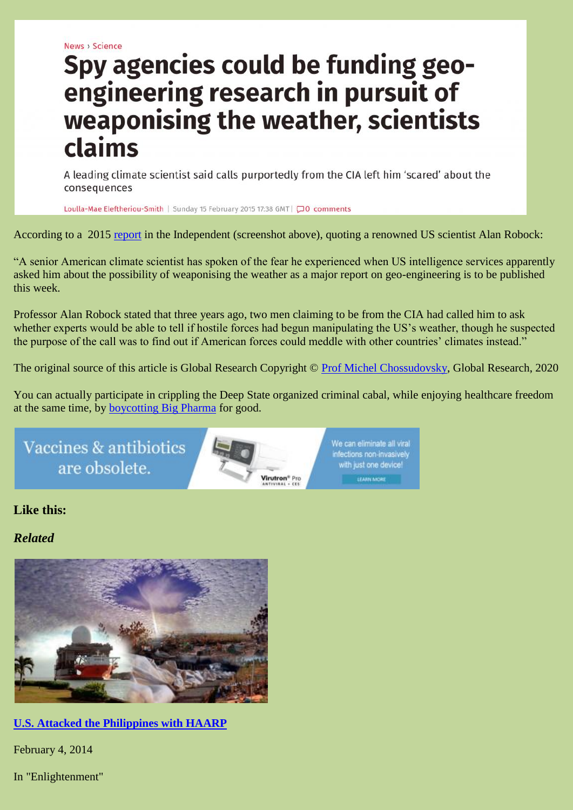News > Science

# Spy agencies could be funding geoengineering research in pursuit of weaponising the weather, scientists claims

A leading climate scientist said calls purportedly from the CIA left him 'scared' about the consequences

Loulla-Mae Eleftheriou-Smith | Sunday 15 February 2015 17:38 GMT | 0 comments

According to a 2015 [report](http://www.independent.co.uk/news/science/spy-agencies-could-be-funding-geoengineering-research-in-pursuit-of-weaponising-the-weather-scientists-claims-10047544.html) in the Independent (screenshot above), quoting a renowned US scientist Alan Robock:

―A senior American climate scientist has spoken of the fear he experienced when US intelligence services apparently asked him about the possibility of weaponising the weather as a major report on geo-engineering is to be published this week.

Professor Alan Robock stated that three years ago, two men claiming to be from the CIA had called him to ask whether experts would be able to tell if hostile forces had begun manipulating the US's weather, though he suspected the purpose of the call was to find out if American forces could meddle with other countries' climates instead."

The original source of this article is Global Research Copyright © [Prof Michel Chossudovsky,](https://www.globalresearch.ca/author/michel-chossudovsky) Global Research, 2020

You can actually participate in crippling the Deep State organized criminal cabal, while enjoying healthcare freedom at the same time, by [boycotting Big Pharma](https://virutron.com/) for good.



## **Like this:**

*Related*



**[U.S. Attacked the Philippines with HAARP](https://geopolitics.co/2014/02/04/u-s-attacked-philippines-using-haarp/)**

February 4, 2014

In "Enlightenment"